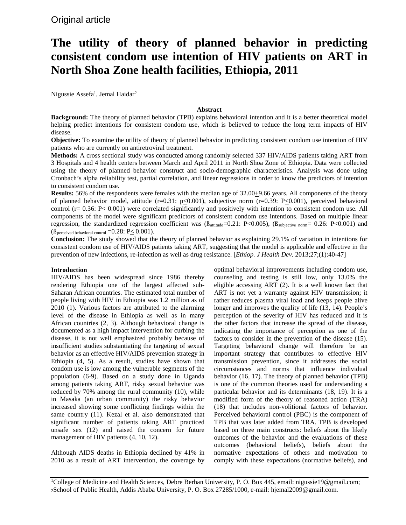# **The utility of theory of planned behavior in predicting consistent condom use intention of HIV patients on ART in North Shoa Zone health facilities, Ethiopia, 2011**

Nigussie Assefa<sup>1</sup>, Jemal Haidar<sup>2</sup>

## **Abstract**

**Background:** The theory of planned behavior (TPB) explains behavioral intention and it is a better theoretical model helping predict intentions for consistent condom use, which is believed to reduce the long term impacts of HIV disease.

**Objective:** To examine the utility of theory of planned behavior in predicting consistent condom use intention of HIV patients who are currently on antiretroviral treatment.

**Methods:** A cross sectional study was conducted among randomly selected 337 HIV/AIDS patients taking ART from 3 Hospitals and 4 health centers between March and April 2011 in North Shoa Zone of Ethiopia. Data were collected using the theory of planned behavior construct and socio-demographic characteristics. Analysis was done using Cronbach's alpha reliability test, partial correlation, and linear regressions in order to know the predictors of intention to consistent condom use.

**Results:** 56% of the respondents were females with the median age of 32.00+9.66 years. All components of the theory of planned behavior model, attitude (r=0.31: p<0.001), subjective norm (r=0.39: P<0.001), perceived behavioral control ( $r= 0.36$ :  $P\leq 0.001$ ) were correlated significantly and positively with intention to consistent condom use. All components of the model were significant predictors of consistent condom use intentions. Based on multiple linear regression, the standardized regression coefficient was  $(\beta_{\text{attribute}}=0.21: P<0.005)$ ,  $(\beta_{\text{subjective norm}}=0.26: P<0.001)$  and ( $\beta$  perceived behavioral control =0.28: P $\leq$  0.001).

**Conclusion:** The study showed that the theory of planned behavior as explaining 29.1% of variation in intentions for consistent condom use of HIV/AIDS patients taking ART, suggesting that the model is applicable and effective in the prevention of new infections, re-infection as well as drug resistance. [*Ethiop. J Health Dev.* 2013;27;(1):40-47]

# **Introduction**

HIV/AIDS has been widespread since 1986 thereby rendering Ethiopia one of the largest affected sub-Saharan African countries. The estimated total number of people living with HIV in Ethiopia was 1.2 million as of 2010 (1). Various factors are attributed to the alarming level of the disease in Ethiopia as well as in many African countries (2, 3). Although behavioral change is documented as a high impact intervention for curbing the disease, it is not well emphasized probably because of insufficient studies substantiating the targeting of sexual behavior as an effective HIV/AIDS prevention strategy in Ethiopia (4, 5). As a result, studies have shown that condom use is low among the vulnerable segments of the population (6-9). Based on a study done in Uganda among patients taking ART, risky sexual behavior was reduced by 70% among the rural community (10), while in Masaka (an urban community) the risky behavior increased showing some conflicting findings within the same country (11). Kezal et al. also demonstrated that significant number of patients taking ART practiced unsafe sex (12) and raised the concern for future management of HIV patients (4, 10, 12).

Although AIDS deaths in Ethiopia declined by 41% in 2010 as a result of ART intervention, the coverage by optimal behavioral improvements including condom use, counseling and testing is still low, only 13.0% the eligible accessing ART (2). It is a well known fact that ART is not yet a warranty against HIV transmission; it rather reduces plasma viral load and keeps people alive longer and improves the quality of life (13, 14). People's perception of the severity of HIV has reduced and it is the other factors that increase the spread of the disease, indicating the importance of perception as one of the factors to consider in the prevention of the disease (15). Targeting behavioral change will therefore be an important strategy that contributes to effective HIV transmission prevention, since it addresses the social circumstances and norms that influence individual behavior (16, 17). The theory of planned behavior (TPB) is one of the common theories used for understanding a particular behavior and its determinants (18, 19). It is a modified form of the theory of reasoned action (TRA) (18) that includes non-volitional factors of behavior. Perceived behavioral control (PBC) is the component of TPB that was later added from TRA. TPB is developed based on three main constructs: beliefs about the likely outcomes of the behavior and the evaluations of these outcomes (behavioral beliefs), beliefs about the normative expectations of others and motivation to comply with these expectations (normative beliefs), and

<sup>1</sup>College of Medicine and Health Sciences, Debre Berhan University, P. O. Box 445, email: nigussie19@gmail.com; 2School of Public Health, Addis Ababa University, P. O. Box 27285/1000, e-mail: hjemal2009@gmail.com.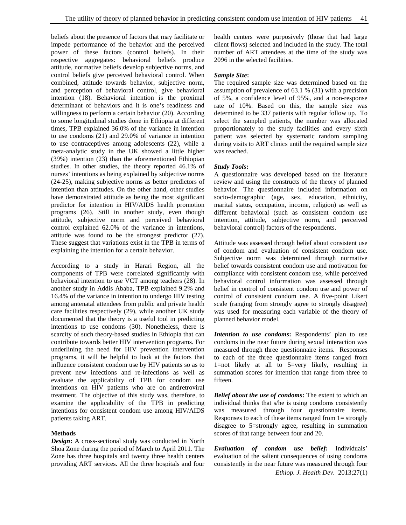beliefs about the presence of factors that may facilitate or impede performance of the behavior and the perceived power of these factors (control beliefs). In their respective aggregates: behavioral beliefs produce attitude, normative beliefs develop subjective norms, and control beliefs give perceived behavioral control. When combined, attitude towards behavior, subjective norm, and perception of behavioral control, give behavioral intention (18). Behavioral intention is the proximal determinant of behaviors and it is one's readiness and willingness to perform a certain behavior (20). According to some longitudinal studies done in Ethiopia at different times, TPB explained 36.0% of the variance in intention to use condoms (21) and 29.0% of variance in intention to use contraceptives among adolescents (22), while a meta-analytic study in the UK showed a little higher (39%) intention (23) than the aforementioned Ethiopian studies. In other studies, the theory reported 46.1% of nurses' intentions as being explained by subjective norms (24-25), making subjective norms as better predictors of intention than attitudes. On the other hand, other studies have demonstrated attitude as being the most significant predictor for intention in HIV/AIDS health promotion programs (26). Still in another study, even though attitude, subjective norm and perceived behavioral control explained 62.0% of the variance in intentions, attitude was found to be the strongest predictor (27). These suggest that variations exist in the TPB in terms of explaining the intention for a certain behavior.

According to a study in Harari Region, all the components of TPB were correlated significantly with behavioral intention to use VCT among teachers (28). In another study in Addis Ababa, TPB explained 9.2% and 16.4% of the variance in intention to undergo HIV testing among antenatal attendees from public and private health care facilities respectively (29), while another UK study documented that the theory is a useful tool in predicting intentions to use condoms (30). Nonetheless, there is scarcity of such theory-based studies in Ethiopia that can contribute towards better HIV intervention programs. For underlining the need for HIV prevention intervention programs, it will be helpful to look at the factors that influence consistent condom use by HIV patients so as to prevent new infections and re-infections as well as evaluate the applicability of TPB for condom use intentions on HIV patients who are on antiretroviral treatment. The objective of this study was, therefore, to examine the applicability of the TPB in predicting intentions for consistent condom use among HIV/AIDS patients taking ART.

# **Methods**

*Design***:** A cross-sectional study was conducted in North Shoa Zone during the period of March to April 2011. The Zone has three hospitals and twenty three health centers providing ART services. All the three hospitals and four health centers were purposively (those that had large client flows) selected and included in the study. The total number of ART attendees at the time of the study was 2096 in the selected facilities.

## *Sample Size***:**

The required sample size was determined based on the assumption of prevalence of 63.1 % (31) with a precision of 5%, a confidence level of 95%, and a non-response rate of 10%. Based on this, the sample size was determined to be 337 patients with regular follow up. To select the sampled patients, the number was allocated proportionately to the study facilities and every sixth patient was selected by systematic random sampling during visits to ART clinics until the required sample size was reached.

#### *Study Tools***:**

A questionnaire was developed based on the literature review and using the constructs of the theory of planned behavior. The questionnaire included information on socio-demographic (age, sex, education, ethnicity, marital status, occupation, income, religion) as well as different behavioral (such as consistent condom use intention, attitude, subjective norm, and perceived behavioral control) factors of the respondents.

Attitude was assessed through belief about consistent use of condom and evaluation of consistent condom use. Subjective norm was determined through normative belief towards consistent condom use and motivation for compliance with consistent condom use, while perceived behavioral control information was assessed through belief in control of consistent condom use and power of control of consistent condom use. A five-point Likert scale (ranging from strongly agree to strongly disagree) was used for measuring each variable of the theory of planned behavior model.

*Intention to use condoms*: Respondents' plan to use condoms in the near future during sexual interaction was measured through three questionnaire items. Responses to each of the three questionnaire items ranged from 1=not likely at all to 5=very likely, resulting in summation scores for intention that range from three to fifteen.

*Belief about the use of condoms***:** The extent to which an individual thinks that s/he is using condoms consistently was measured through four questionnaire items. Responses to each of these items ranged from  $1=$  strongly disagree to 5=strongly agree, resulting in summation scores of that range between four and 20.

*Evaluation of condom use belief***:** Individuals' evaluation of the salient consequences of using condoms consistently in the near future was measured through four *Ethiop. J. Health Dev.* 2013;27(1)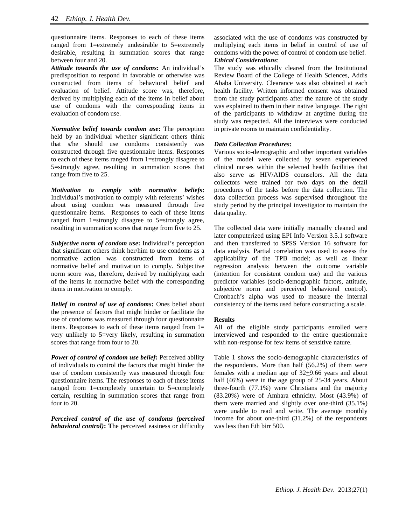questionnaire items. Responses to each of these items ranged from 1=extremely undesirable to 5=extremely desirable, resulting in summation scores that range between four and 20.

*Attitude towards the use of condoms***:** An individual's predisposition to respond in favorable or otherwise was constructed from items of behavioral belief and evaluation of belief. Attitude score was, therefore, derived by multiplying each of the items in belief about use of condoms with the corresponding items in evaluation of condom use.

*Normative belief towards condom use***:** The perception held by an individual whether significant others think that s/he should use condoms consistently was constructed through five questionnaire items. Responses to each of these items ranged from 1=strongly disagree to 5=strongly agree, resulting in summation scores that range from five to 25.

*Motivation to comply with normative beliefs***:**  Individual's motivation to comply with referents' wishes about using condom was measured through five questionnaire items. Responses to each of these items ranged from 1=strongly disagree to 5=strongly agree, resulting in summation scores that range from five to 25.

*Subjective norm of condom use***:** Individual's perception that significant others think her/him to use condoms as a normative action was constructed from items of normative belief and motivation to comply. Subjective norm score was, therefore, derived by multiplying each of the items in normative belief with the corresponding items in motivation to comply.

*Belief in control of use of condoms***:** Ones belief about the presence of factors that might hinder or facilitate the use of condoms was measured through four questionnaire items. Responses to each of these items ranged from 1= very unlikely to 5=very likely, resulting in summation scores that range from four to 20.

*Power of control of condom use belief***:** Perceived ability of individuals to control the factors that might hinder the use of condom consistently was measured through four questionnaire items. The responses to each of these items ranged from 1=completely uncertain to 5=completely certain, resulting in summation scores that range from four to 20.

*Perceived control of the use of condoms (perceived behavioral control)***: T**he perceived easiness or difficulty associated with the use of condoms was constructed by multiplying each items in belief in control of use of condoms with the power of control of condom use belief. *Ethical Considerations*:

The study was ethically cleared from the Institutional Review Board of the College of Health Sciences, Addis Ababa University. Clearance was also obtained at each health facility. Written informed consent was obtained from the study participants after the nature of the study was explained to them in their native language. The right of the participants to withdraw at anytime during the study was respected. All the interviews were conducted in private rooms to maintain confidentiality.

# *Data Collection Procedures***:**

Various socio-demographic and other important variables of the model were **c**ollected by seven experienced clinical nurses within the selected health facilities that also serve as HIV/AIDS counselors. All the data collectors were trained for two days on the detail procedures of the tasks before the data collection. The data collection process was supervised throughout the study period by the principal investigator to maintain the data quality.

The collected data were initially manually cleaned and later computerized using EPI Info Version 3.5.1 software and then transferred to SPSS Version 16 software for data analysis. Partial correlation was used to assess the applicability of the TPB model; as well as linear regression analysis between the outcome variable (intention for consistent condom use) and the various predictor variables (socio-demographic factors, attitude, subjective norm and perceived behavioral control). Cronbach's alpha was used to measure the internal consistency of the items used before constructing a scale.

# **Results**

All of the eligible study participants enrolled were interviewed and responded to the entire questionnaire with non-response for few items of sensitive nature.

Table 1 shows the socio-demographic characteristics of the respondents. More than half (56.2%) of them were females with a median age of 32+9.66 years and about half (46%) were in the age group of 25-34 years. About three-fourth (77.1%) were Christians and the majority (83.20%) were of Amhara ethnicity. Most (43.9%) of them were married and slightly over one-third (35.1%) were unable to read and write. The average monthly income for about one-third (31.2%) of the respondents was less than Eth birr 500.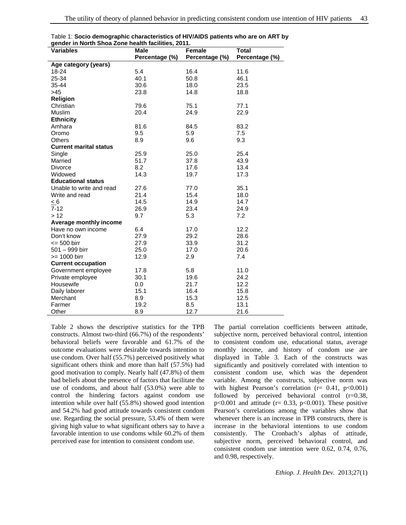| gondor in North Onod Lono noditir raomtrooj Lor III<br><b>Variables</b> | <b>Male</b>    | <b>Total</b>             |                |  |
|-------------------------------------------------------------------------|----------------|--------------------------|----------------|--|
|                                                                         | Percentage (%) | Female<br>Percentage (%) | Percentage (%) |  |
| Age category (years)                                                    |                |                          |                |  |
| 18-24                                                                   | 5.4            | 16.4                     | 11.6           |  |
| 25-34                                                                   | 40.1           | 50.8                     | 46.1           |  |
| 35-44                                                                   | 30.6           | 18.0                     | 23.5           |  |
| >45                                                                     | 23.8           | 14.8                     | 18.8           |  |
| <b>Religion</b>                                                         |                |                          |                |  |
| Christian                                                               | 79.6           | 75.1                     | 77.1           |  |
| Muslim                                                                  | 20.4           | 24.9                     | 22.9           |  |
| <b>Ethnicity</b>                                                        |                |                          |                |  |
| Amhara                                                                  | 81.6           | 84.5                     | 83.2           |  |
| Oromo                                                                   | 9.5            | 5.9                      | 7.5            |  |
| Others                                                                  | 8.9            | 9.6                      | 9.3            |  |
| <b>Current marital status</b>                                           |                |                          |                |  |
| Single                                                                  | 25.9           | 25.0                     | 25.4           |  |
| Married                                                                 | 51.7           | 37.8                     | 43.9           |  |
| Divorce                                                                 | 8.2            | 17.6                     | 13.4           |  |
| Widowed                                                                 | 14.3           | 19.7                     | 17.3           |  |
| <b>Educational status</b>                                               |                |                          |                |  |
| Unable to write and read                                                | 27.6           | 77.0                     | 35.1           |  |
| Write and read                                                          | 21.4           | 15.4                     | 18.0           |  |
| < 6                                                                     | 14.5           | 14.9                     | 14.7           |  |
| $7 - 12$                                                                | 26.9           | 23.4                     | 24.9           |  |
| >12                                                                     | 9.7            | 5.3                      | 7.2            |  |
| Average monthly income                                                  |                |                          |                |  |
| Have no own income                                                      | 6.4            | 17.0                     | 12.2           |  |
| Don't know                                                              | 27.9           | 29.2                     | 28.6           |  |
| $= 500$ birr                                                            | 27.9           | 33.9                     | 31.2           |  |
| 501 - 999 birr                                                          | 25.0           | 17.0                     | 20.6           |  |
| $>= 1000$ birr                                                          | 12.9           | 2.9                      | 7.4            |  |
| <b>Current occupation</b>                                               |                |                          |                |  |
| Government employee                                                     | 17.8           | 5.8                      | 11.0           |  |
| Private employee                                                        | 30.1           | 19.6                     | 24.2           |  |
| Housewife                                                               | 0.0            | 21.7                     | 12.2           |  |
| Daily laborer                                                           | 15.1           | 16.4                     | 15.8           |  |
| Merchant                                                                | 8.9            | 15.3                     | 12.5           |  |
| Farmer                                                                  | 19.2           | 8.5                      | 13.1           |  |
| Other                                                                   | 8.9            | 12.7                     | 21.6           |  |

Table 1: **Socio demographic characteristics of HIV/AIDS patients who are on ART by gender in North Shoa Zone health facilities, 2011.** 

Table 2 shows the descriptive statistics for the TPB constructs. Almost two-third (66.7%) of the respondents' behavioral beliefs were favorable and 61.7% of the outcome evaluations were desirable towards intention to use condom. Over half (55.7%) perceived positively what significant others think and more than half (57.5%) had good motivation to comply. Nearly half (47.8%) of them had beliefs about the presence of factors that facilitate the use of condoms, and about half (53.0%) were able to control the hindering factors against condom use intention while over half (55.8%) showed good intention and 54.2% had good attitude towards consistent condom use. Regarding the social pressure, 53.4% of them were giving high value to what significant others say to have a favorable intention to use condoms while 60.2% of them perceived ease for intention to consistent condom use.

The partial correlation coefficients between attitude, subjective norm, perceived behavioral control, intention to consistent condom use, educational status, average monthly income, and history of condom use are displayed in Table 3. Each of the constructs was significantly and positively correlated with intention to consistent condom use, which was the dependent variable. Among the constructs, subjective norm was with highest Pearson's correlation ( $r = 0.41$ ,  $p < 0.001$ ) followed by perceived behavioral control  $(r=0.38)$ ,  $p<0.001$  and attitude (r= 0.33,  $p<0.001$ ). These positive Pearson's correlations among the variables show that whenever there is an increase in TPB constructs, there is increase in the behavioral intentions to use condom consistently. The Cronbach's alphas of attitude, subjective norm, perceived behavioral control, and consistent condom use intention were 0.62, 0.74, 0.76, and 0.98, respectively.

*Ethiop. J. Health Dev.* 2013;27(1)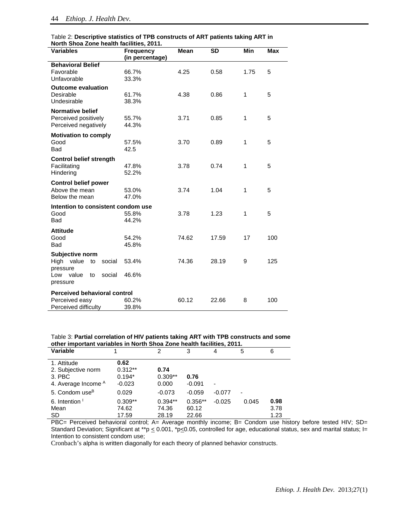| North Shoa Zone health facilities, 2011. |                 |             |           |              |            |  |  |
|------------------------------------------|-----------------|-------------|-----------|--------------|------------|--|--|
| <b>Variables</b>                         | Frequency       | <b>Mean</b> | <b>SD</b> | <b>Min</b>   | <b>Max</b> |  |  |
|                                          | (in percentage) |             |           |              |            |  |  |
| <b>Behavioral Belief</b>                 |                 |             |           |              |            |  |  |
| Favorable                                | 66.7%           | 4.25        | 0.58      | 1.75         | 5          |  |  |
| Unfavorable                              | 33.3%           |             |           |              |            |  |  |
| <b>Outcome evaluation</b>                |                 |             |           |              |            |  |  |
| Desirable                                | 61.7%           | 4.38        | 0.86      | 1            | 5          |  |  |
| Undesirable                              | 38.3%           |             |           |              |            |  |  |
| <b>Normative belief</b>                  |                 |             |           |              |            |  |  |
| Perceived positively                     | 55.7%           | 3.71        | 0.85      | $\mathbf{1}$ | 5          |  |  |
| Perceived negatively                     | 44.3%           |             |           |              |            |  |  |
| <b>Motivation to comply</b>              |                 |             |           |              |            |  |  |
| Good                                     | 57.5%           | 3.70        | 0.89      | 1            | 5          |  |  |
| <b>Bad</b>                               | 42.5            |             |           |              |            |  |  |
| <b>Control belief strength</b>           |                 |             |           |              |            |  |  |
| Facilitating                             | 47.8%           | 3.78        | 0.74      | $\mathbf{1}$ | 5          |  |  |
| Hindering                                | 52.2%           |             |           |              |            |  |  |
| <b>Control belief power</b>              |                 |             |           |              |            |  |  |
| Above the mean                           | 53.0%           | 3.74        | 1.04      | 1            | 5          |  |  |
| Below the mean                           | 47.0%           |             |           |              |            |  |  |
| Intention to consistent condom use       |                 |             |           |              |            |  |  |
| Good                                     | 55.8%           | 3.78        | 1.23      | 1            | 5          |  |  |
| Bad                                      | 44.2%           |             |           |              |            |  |  |
|                                          |                 |             |           |              |            |  |  |
| <b>Attitude</b><br>Good                  | 54.2%           | 74.62       | 17.59     | 17           | 100        |  |  |
| <b>Bad</b>                               | 45.8%           |             |           |              |            |  |  |
|                                          |                 |             |           |              |            |  |  |
| Subjective norm                          |                 |             |           |              |            |  |  |
| High value<br>social<br>to               | 53.4%           | 74.36       | 28.19     | 9            | 125        |  |  |
| pressure<br>value<br>social<br>Low<br>to | 46.6%           |             |           |              |            |  |  |
| pressure                                 |                 |             |           |              |            |  |  |
|                                          |                 |             |           |              |            |  |  |
| <b>Perceived behavioral control</b>      |                 |             |           |              |            |  |  |
| Perceived easy                           | 60.2%           | 60.12       | 22.66     | 8            | 100        |  |  |
| Perceived difficulty                     | 39.8%           |             |           |              |            |  |  |

| Table 2: Descriptive statistics of TPB constructs of ART patients taking ART in |  |
|---------------------------------------------------------------------------------|--|
| North Shoa Zone health facilities, 2011.                                        |  |

Table 3: **Partial correlation of HIV patients taking ART with TPB constructs and some other important variables in North Shoa Zone health facilities, 2011.** 

| <u>Uther important variables in North Shoa Zone health latinues, Zu F. I</u> |           |           |           |          |       |      |  |
|------------------------------------------------------------------------------|-----------|-----------|-----------|----------|-------|------|--|
| Variable                                                                     |           | 2         | 3         | 4        | 5     | 6    |  |
| 1. Attitude                                                                  | 0.62      |           |           |          |       |      |  |
| 2. Subjective norm                                                           | $0.312**$ | 0.74      |           |          |       |      |  |
| 3. PBC                                                                       | $0.194*$  | $0.309**$ | 0.76      |          |       |      |  |
| 4. Average Income A                                                          | $-0.023$  | 0.000     | $-0.091$  |          |       |      |  |
| 5. Condom use <sup>B</sup>                                                   | 0.029     | $-0.073$  | $-0.059$  | $-0.077$ | ۰     |      |  |
| 6. Intention <sup>1</sup>                                                    | $0.309**$ | $0.394**$ | $0.356**$ | $-0.025$ | 0.045 | 0.98 |  |
| Mean                                                                         | 74.62     | 74.36     | 60.12     |          |       | 3.78 |  |
| SD.                                                                          | 17.59     | 28.19     | 22.66     |          |       | 1.23 |  |

PBC= Perceived behavioral control; A= Average monthly income; B= Condom use history before tested HIV; SD= Standard Deviation; Significant at \*\*p  $\leq$  0.001, \*p $\leq$ 0.05, controlled for age, educational status, sex and marital status; I= Intention to consistent condom use;

Cronbach's alpha is written diagonally for each theory of planned behavior constructs.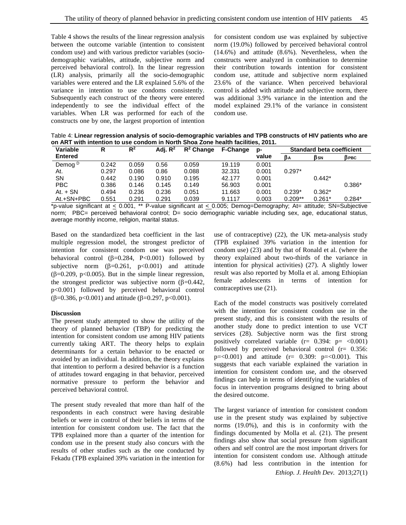Table 4 shows the results of the linear regression analysis between the outcome variable (intention to consistent condom use) and with various predictor variables (sociodemographic variables, attitude, subjective norm and perceived behavioral control). In the linear regression (LR) analysis, primarily all the socio-demographic variables were entered and the LR explained 5.6% of the variance in intention to use condoms consistently. Subsequently each construct of the theory were entered independently to see the individual effect of the variables. When LR was performed for each of the constructs one by one, the largest proportion of intention

for consistent condom use was explained by subjective norm (19.0%) followed by perceived behavioral control (14.6%) and attitude (8.6%). Nevertheless, when the constructs were analyzed in combination to determine their contribution towards intention for consistent condom use, attitude and subjective norm explained 23.6% of the variance. When perceived behavioral control is added with attitude and subjective norm, there was additional 3.9% variance in the intention and the model explained 29.1% of the variance in consistent condom use.

Table 4: **Linear regression analysis of socio-demographic variables and TPB constructs of HIV patients who are on ART with intention to use condom in North Shoa Zone health facilities, 2011.**

| Variable           | R     | $R^2$ | Adi. $R^2$ | $R^2$ Change | <b>F-Change</b> | p-    | <b>Standard beta coefficient</b> |                 |          |
|--------------------|-------|-------|------------|--------------|-----------------|-------|----------------------------------|-----------------|----------|
| <b>Entered</b>     |       |       |            |              |                 | value | βA                               | B <sub>SN</sub> | Врвс     |
| Demog <sup>D</sup> | 0.242 | 0.059 | 0.56       | 0.059        | 19.119          | 0.001 |                                  |                 |          |
| At.                | 0.297 | 0.086 | 0.86       | 0.088        | 32.331          | 0.001 | $0.297*$                         |                 |          |
| SΝ                 | 0.442 | 0.190 | 0.910      | 0.195        | 42.177          | 0.001 |                                  | $0.442*$        |          |
| <b>PBC</b>         | 0.386 | 0.146 | 0.145      | 0.149        | 56.903          | 0.001 |                                  |                 | $0.386*$ |
| $At. + SN$         | 0.494 | 0.236 | 0.236      | 0.051        | 11.663          | 0.001 | $0.239*$                         | $0.362*$        |          |
| At.+SN+PBC         | 0.551 | 0.291 | 0.291      | 0.039        | 9.1117          | 0.003 | $0.209**$                        | $0.261*$        | $0.284*$ |

\*p-value significant at < 0.001, \*\* P-value significant at < 0.005; Demog=Demography; At= attitude; SN=Subjective norm; PBC= perceived behavioral control; D= socio demographic variable including sex, age, educational status, average monthly income, religion, marital status.

Based on the standardized beta coefficient in the last multiple regression model, the strongest predictor of intention for consistent condom use was perceived behavioral control  $(\beta=0.284, P<0.001)$  followed by subjective norm  $(\beta=0.261, p<0.001)$  and attitude ( $\beta$ =0.209, p<0.005). But in the simple linear regression, the strongest predictor was subjective norm  $(\beta=0.442)$ , p<0.001) followed by perceived behavioral control ( $\beta$ =0.386, p<0.001) and attitude ( $\beta$ =0.297, p<0.001).

# **Discussion**

The present study attempted to show the utility of the theory of planned behavior (TBP) for predicting the intention for consistent condom use among HIV patients currently taking ART. The theory helps to explain determinants for a certain behavior to be enacted or avoided by an individual. In addition, the theory explains that intention to perform a desired behavior is a function of attitudes toward engaging in that behavior, perceived normative pressure to perform the behavior and perceived behavioral control.

The present study revealed that more than half of the respondents in each construct were having desirable beliefs or were in control of their beliefs in terms of the intention for consistent condom use. The fact that the TPB explained more than a quarter of the intention for condom use in the present study also concurs with the results of other studies such as the one conducted by Fekadu (TPB explained 39% variation in the intention for

use of contraceptive) (22), the UK meta-analysis study (TPB explained 39% variation in the intention for condom use) (23) and by that of Ronald et al. (where the theory explained about two-thirds of the variance in intention for physical activities) (27). A slightly lower result was also reported by Molla et al. among Ethiopian female adolescents in terms of intention for contraceptives use (21).

Each of the model constructs was positively correlated with the intention for consistent condom use in the present study, and this is consistent with the results of another study done to predict intention to use VCT services (28). Subjective norm was the first strong positively correlated variable  $(r= 0.394; p= <0.001)$ followed by perceived behavioral control (r= 0.356:  $p = 0.001$  and attitude (r= 0.309:  $p = 0.001$ ). This suggests that each variable explained the variation in intention for consistent condom use, and the observed findings can help in terms of identifying the variables of focus in intervention programs designed to bring about the desired outcome.

The largest variance of intention for consistent condom use in the present study was explained by subjective norms (19.0%), and this is in conformity with the findings documented by Molla et al. (21). The present findings also show that social pressure from significant others and self control are the most important drivers for intention for consistent condom use. Although attitude (8.6%) had less contribution in the intention for

*Ethiop. J. Health Dev.* 2013;27(1)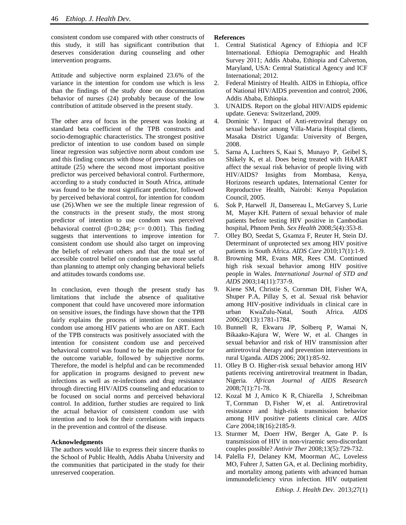consistent condom use compared with other constructs of this study, it still has significant contribution that deserves consideration during counseling and other intervention programs.

Attitude and subjective norm explained 23.6% of the variance in the intention for condom use which is less than the findings of the study done on documentation behavior of nurses (24) probably because of the low contribution of attitude observed in the present study.

The other area of focus in the present was looking at standard beta coefficient of the TPB constructs and socio-demographic characteristics. The strongest positive predictor of intention to use condom based on simple linear regression was subjective norm about condom use and this finding concurs with those of previous studies on attitude (25) where the second most important positive predictor was perceived behavioral control. Furthermore, according to a study conducted in South Africa, attitude was found to be the most significant predictor, followed by perceived behavioral control, for intention for condom use (26).When we see the multiple linear regression of the constructs in the present study, the most strong predictor of intention to use condom was perceived behavioral control ( $\beta$ =0.284; p <= 0.001). This finding suggests that interventions to improve intention for consistent condom use should also target on improving the beliefs of relevant others and that the total set of accessible control belief on condom use are more useful than planning to attempt only changing behavioral beliefs and attitudes towards condoms use.

In conclusion, even though the present study has limitations that include the absence of qualitative component that could have uncovered more information on sensitive issues, the findings have shown that the TPB fairly explains the process of intention for consistent condom use among HIV patients who are on ART. Each of the TPB constructs was positively associated with the intention for consistent condom use and perceived behavioral control was found to be the main predictor for the outcome variable, followed by subjective norms. Therefore, the model is helpful and can be recommended for application in programs designed to prevent new infections as well as re-infections and drug resistance through directing HIV/AIDS counseling and education to be focused on social norms and perceived behavioral control. In addition, further studies are required to link the actual behavior of consistent condom use with intention and to look for their correlations with impacts in the prevention and control of the disease.

## **Acknowledgments**

The authors would like to express their sincere thanks to the School of Public Health, Addis Ababa University and the communities that participated in the study for their unreserved cooperation.

## **References**

- 1. Central Statistical Agency of Ethiopia and ICF International. Ethiopia Demographic and Health Survey 2011; Addis Ababa, Ethiopia and Calverton, Maryland, USA: Central Statistical Agency and ICF International; 2012.
- 2. Federal Ministry of Health. AIDS in Ethiopia, office of National HIV/AIDS prevention and control; 2006, Addis Ababa, Ethiopia.
- 3. UNAIDS. Report on the global HIV/AIDS epidemic update. Geneva: Switzerland, 2009.
- 4. Dominic Y. Impact of Anti-retroviral therapy on sexual behavior among Villa-Maria Hospital clients, Masaka District Uganda: University of Bergen, 2008.
- 5. Sarna A, Luchters S, Kaai S, Munayo P, Geibel S, Shikely K, et al. Does being treated with HAART affect the sexual risk behavior of people living with HIV/AIDS? Insights from Mombasa, Kenya, Horizons research updates, International Center for Reproductive Health, Nairobi: Kenya Population Council, 2005.
- 6. Sok P, Harwell JI, Dansereau L, McGarvey S, Lurie M, Mayer KH. Pattern of sexual behavior of male patients before testing HIV positive in Cambodian hospital, Phnom Penh. *Sex Health* 2008;5(4):353-8.
- 7. Olley BO, Seedat S, Gxamza F, Reuter H, Stein DJ. Determinant of unprotected sex among HIV positive patients in South Africa. *AIDS Care* 2010;17(1):1-9.
- 8. Browning MR, Evans MR, Rees CM. Continued high risk sexual behavior among HIV positive people in Wales. *International Journal of STD and AIDS* 2003;14(11):737-9.
- 9. Kiene SM, Christie S, Cornman DH, Fisher WA, Shuper P.A, Pillay S, et al. Sexual risk behavior among HIV-positive individuals in clinical care in urban KwaZulu-Natal, South Africa. *AIDS* 2006;20(13):1781-1784.
- 10. Bunnell R, Ekwaru JP, Solberq P, Wamai N, Bikaako-Kajura W, Were W, et al. Changes in sexual behavior and risk of HIV transmission after antiretroviral therapy and prevention interventions in rural Uganda. *AIDS* 2006; 20(1):85-92.
- 11. Olley B O. Higher-risk sexual behavior among HIV patients receiving antiretroviral treatment in Ibadan, Nigeria. *African Journal of AIDS Research* 2008;7(1):71-78.
- 12. [Kozal M J,](http://www.ncbi.nlm.nih.gov/pubmed?term=Kozal%20MJ%5BAuthor%5D&cauthor=true&cauthor_uid=15577652) [Amico K R,](http://www.ncbi.nlm.nih.gov/pubmed?term=Amico%20KR%5BAuthor%5D&cauthor=true&cauthor_uid=15577652) [Chiarella J,](http://www.ncbi.nlm.nih.gov/pubmed?term=Chiarella%20J%5BAuthor%5D&cauthor=true&cauthor_uid=15577652) [Schreibman](http://www.ncbi.nlm.nih.gov/pubmed?term=Schreibman%20T%5BAuthor%5D&cauthor=true&cauthor_uid=15577652)  [T,](http://www.ncbi.nlm.nih.gov/pubmed?term=Schreibman%20T%5BAuthor%5D&cauthor=true&cauthor_uid=15577652) [Cornman D,](http://www.ncbi.nlm.nih.gov/pubmed?term=Cornman%20D%5BAuthor%5D&cauthor=true&cauthor_uid=15577652) [Fisher W,](http://www.ncbi.nlm.nih.gov/pubmed?term=Fisher%20W%5BAuthor%5D&cauthor=true&cauthor_uid=15577652) et al. Antiretroviral resistance and high-risk transmission behavior among HIV positive patients clinical care. *AIDS Care* 2004;18(16):2185-9.
- 13. Sturmer M, Doerr HW, Berger A, Gate P. Is transmission of HIV in non-viraemic sero-discordant couples possible? *Antivir Ther* 2008;13(5):729-732.
- 14. Palella FJ, Delaney KM, Moorman AC, Loveless MO, Fuhrer J, Satten GA, et al. Declining morbidity, and mortality among patients with advanced human immunodeficiency virus infection. HIV outpatient

*Ethiop. J. Health Dev.* 2013;27(1)